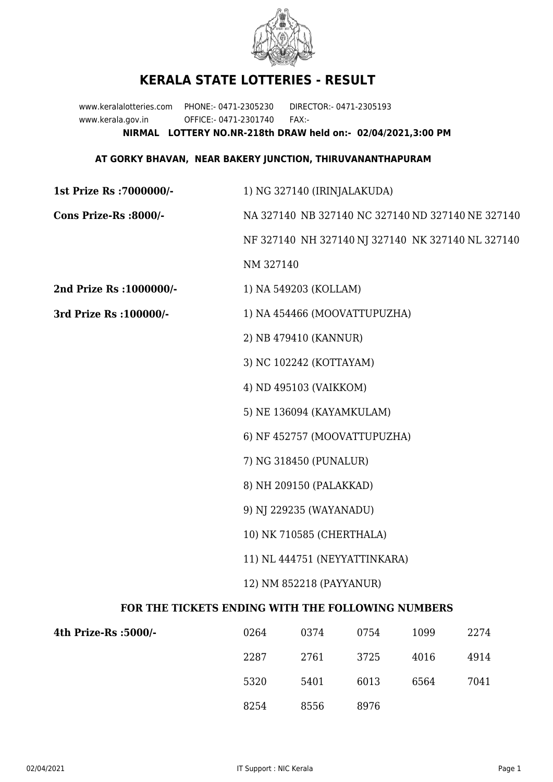

## **KERALA STATE LOTTERIES - RESULT**

www.keralalotteries.com PHONE:- 0471-2305230 DIRECTOR:- 0471-2305193 www.kerala.gov.in OFFICE:- 0471-2301740 FAX:- **NIRMAL LOTTERY NO.NR-218th DRAW held on:- 02/04/2021,3:00 PM**

## **AT GORKY BHAVAN, NEAR BAKERY JUNCTION, THIRUVANANTHAPURAM**

| 1st Prize Rs : 7000000/-                          | 1) NG 327140 (IRINJALAKUDA)                       |                              |      |      |                                                   |  |
|---------------------------------------------------|---------------------------------------------------|------------------------------|------|------|---------------------------------------------------|--|
| Cons Prize-Rs :8000/-                             | NA 327140 NB 327140 NC 327140 ND 327140 NE 327140 |                              |      |      |                                                   |  |
|                                                   |                                                   |                              |      |      | NF 327140 NH 327140 NJ 327140 NK 327140 NL 327140 |  |
|                                                   | NM 327140                                         |                              |      |      |                                                   |  |
| 2nd Prize Rs : 1000000/-                          |                                                   | 1) NA 549203 (KOLLAM)        |      |      |                                                   |  |
| 3rd Prize Rs : 100000/-                           | 1) NA 454466 (MOOVATTUPUZHA)                      |                              |      |      |                                                   |  |
|                                                   |                                                   | 2) NB 479410 (KANNUR)        |      |      |                                                   |  |
|                                                   |                                                   | 3) NC 102242 (KOTTAYAM)      |      |      |                                                   |  |
|                                                   |                                                   | 4) ND 495103 (VAIKKOM)       |      |      |                                                   |  |
|                                                   |                                                   | 5) NE 136094 (KAYAMKULAM)    |      |      |                                                   |  |
|                                                   |                                                   | 6) NF 452757 (MOOVATTUPUZHA) |      |      |                                                   |  |
|                                                   |                                                   | 7) NG 318450 (PUNALUR)       |      |      |                                                   |  |
|                                                   | 8) NH 209150 (PALAKKAD)                           |                              |      |      |                                                   |  |
|                                                   | 9) NJ 229235 (WAYANADU)                           |                              |      |      |                                                   |  |
|                                                   | 10) NK 710585 (CHERTHALA)                         |                              |      |      |                                                   |  |
|                                                   | 11) NL 444751 (NEYYATTINKARA)                     |                              |      |      |                                                   |  |
|                                                   | 12) NM 852218 (PAYYANUR)                          |                              |      |      |                                                   |  |
| FOR THE TICKETS ENDING WITH THE FOLLOWING NUMBERS |                                                   |                              |      |      |                                                   |  |
| 4th Prize-Rs :5000/-                              | 0264                                              | 0374                         | 0754 | 1099 | 2274                                              |  |
|                                                   |                                                   |                              |      |      |                                                   |  |

| ize-Rs :5000/- | 0264 | 0374 | 0754 | 1099 | 2274 |
|----------------|------|------|------|------|------|
|                | 2287 | 2761 | 3725 | 4016 | 4914 |
|                | 5320 | 5401 | 6013 | 6564 | 7041 |
|                | 8254 | 8556 | 8976 |      |      |
|                |      |      |      |      |      |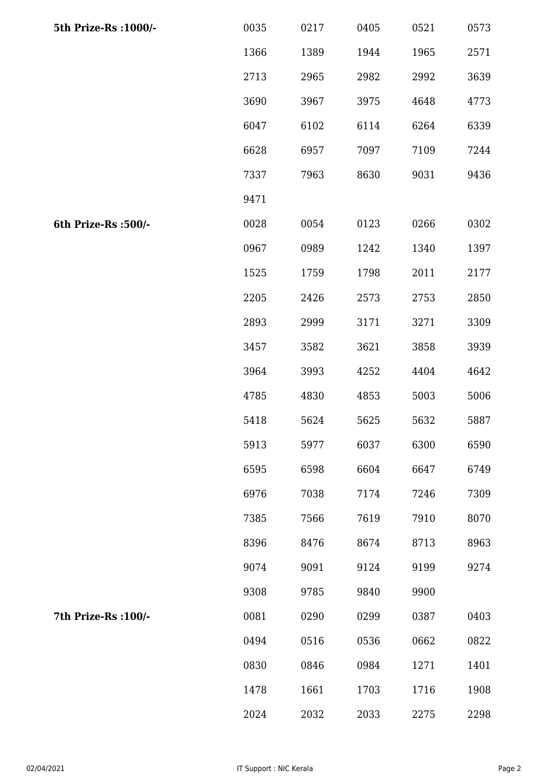| 5th Prize-Rs : 1000/- | 0035 | 0217 | 0405 | 0521 | 0573 |
|-----------------------|------|------|------|------|------|
|                       | 1366 | 1389 | 1944 | 1965 | 2571 |
|                       | 2713 | 2965 | 2982 | 2992 | 3639 |
|                       | 3690 | 3967 | 3975 | 4648 | 4773 |
|                       | 6047 | 6102 | 6114 | 6264 | 6339 |
|                       | 6628 | 6957 | 7097 | 7109 | 7244 |
|                       | 7337 | 7963 | 8630 | 9031 | 9436 |
|                       | 9471 |      |      |      |      |
| 6th Prize-Rs :500/-   | 0028 | 0054 | 0123 | 0266 | 0302 |
|                       | 0967 | 0989 | 1242 | 1340 | 1397 |
|                       | 1525 | 1759 | 1798 | 2011 | 2177 |
|                       | 2205 | 2426 | 2573 | 2753 | 2850 |
|                       | 2893 | 2999 | 3171 | 3271 | 3309 |
|                       | 3457 | 3582 | 3621 | 3858 | 3939 |
|                       | 3964 | 3993 | 4252 | 4404 | 4642 |
|                       | 4785 | 4830 | 4853 | 5003 | 5006 |
|                       | 5418 | 5624 | 5625 | 5632 | 5887 |
|                       | 5913 | 5977 | 6037 | 6300 | 6590 |
|                       | 6595 | 6598 | 6604 | 6647 | 6749 |
|                       | 6976 | 7038 | 7174 | 7246 | 7309 |
|                       | 7385 | 7566 | 7619 | 7910 | 8070 |
|                       | 8396 | 8476 | 8674 | 8713 | 8963 |
|                       | 9074 | 9091 | 9124 | 9199 | 9274 |
|                       | 9308 | 9785 | 9840 | 9900 |      |
| 7th Prize-Rs : 100/-  | 0081 | 0290 | 0299 | 0387 | 0403 |
|                       | 0494 | 0516 | 0536 | 0662 | 0822 |
|                       | 0830 | 0846 | 0984 | 1271 | 1401 |
|                       | 1478 | 1661 | 1703 | 1716 | 1908 |
|                       | 2024 | 2032 | 2033 | 2275 | 2298 |